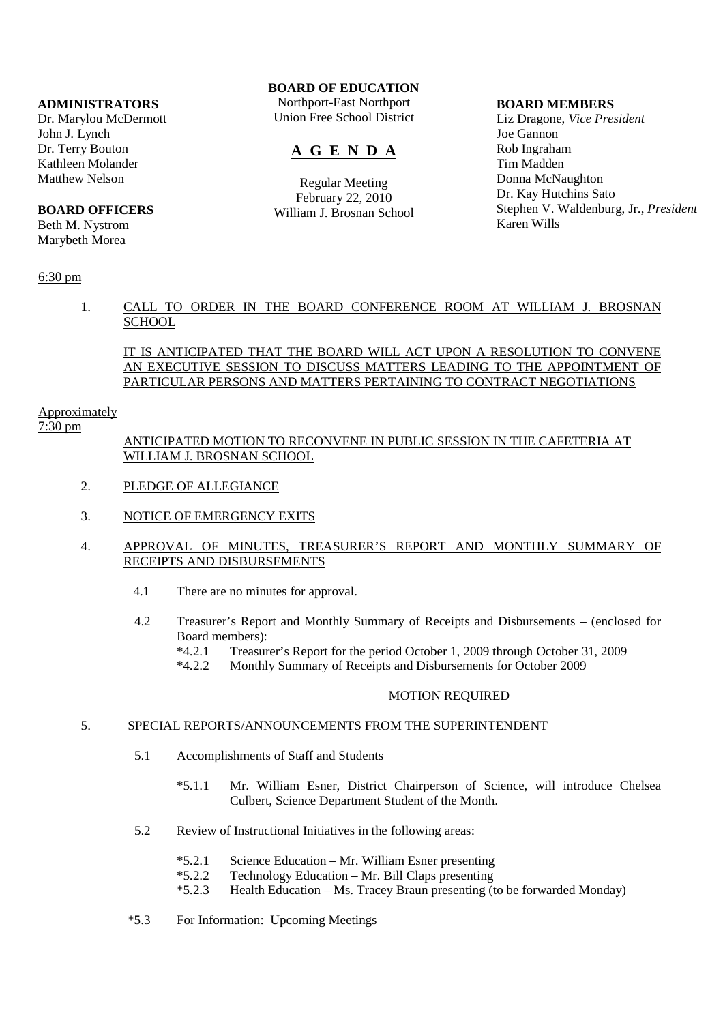#### **ADMINISTRATORS**

Dr. Marylou McDermott John J. Lynch Dr. Terry Bouton Kathleen Molander Matthew Nelson

#### **BOARD OFFICERS**

Beth M. Nystrom Marybeth Morea

### 6:30 pm

# **BOARD OF EDUCATION**

Northport-East Northport Union Free School District

# **A G E N D A**

Regular Meeting February 22, 2010 William J. Brosnan School

#### **BOARD MEMBERS**

Liz Dragone, *Vice President* Joe Gannon Rob Ingraham Tim Madden Donna McNaughton Dr. Kay Hutchins Sato Stephen V. Waldenburg, Jr., *President* Karen Wills

# 1. CALL TO ORDER IN THE BOARD CONFERENCE ROOM AT WILLIAM J. BROSNAN **SCHOOL**

# IT IS ANTICIPATED THAT THE BOARD WILL ACT UPON A RESOLUTION TO CONVENE AN EXECUTIVE SESSION TO DISCUSS MATTERS LEADING TO THE APPOINTMENT OF PARTICULAR PERSONS AND MATTERS PERTAINING TO CONTRACT NEGOTIATIONS

#### Approximately

#### 7:30 pm

# ANTICIPATED MOTION TO RECONVENE IN PUBLIC SESSION IN THE CAFETERIA AT WILLIAM J. BROSNAN SCHOOL

- 2. PLEDGE OF ALLEGIANCE
- 3. NOTICE OF EMERGENCY EXITS

### 4. APPROVAL OF MINUTES, TREASURER'S REPORT AND MONTHLY SUMMARY OF RECEIPTS AND DISBURSEMENTS

- 4.1 There are no minutes for approval.
- 4.2 Treasurer's Report and Monthly Summary of Receipts and Disbursements (enclosed for Board members):
	- \*4.2.1 Treasurer's Report for the period October 1, 2009 through October 31, 2009
	- \*4.2.2 Monthly Summary of Receipts and Disbursements for October 2009

### MOTION REQUIRED

#### 5. SPECIAL REPORTS/ANNOUNCEMENTS FROM THE SUPERINTENDENT

- 5.1 Accomplishments of Staff and Students
	- \*5.1.1 Mr. William Esner, District Chairperson of Science, will introduce Chelsea Culbert, Science Department Student of the Month.
- 5.2 Review of Instructional Initiatives in the following areas:
	- \*5.2.1 Science Education Mr. William Esner presenting
	- \*5.2.2 Technology Education Mr. Bill Claps presenting
	- \*5.2.3 Health Education Ms. Tracey Braun presenting (to be forwarded Monday)
- \*5.3 For Information: Upcoming Meetings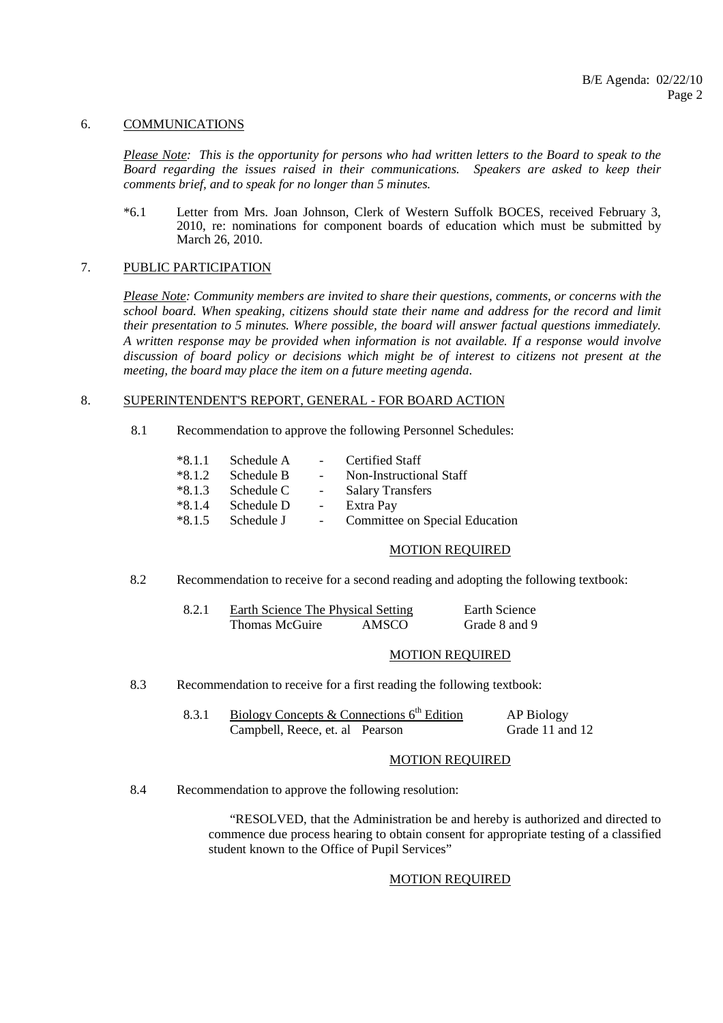#### 6. COMMUNICATIONS

*Please Note: This is the opportunity for persons who had written letters to the Board to speak to the Board regarding the issues raised in their communications. Speakers are asked to keep their comments brief, and to speak for no longer than 5 minutes.*

 \*6.1 Letter from Mrs. Joan Johnson, Clerk of Western Suffolk BOCES, received February 3, 2010, re: nominations for component boards of education which must be submitted by March 26, 2010.

#### 7. PUBLIC PARTICIPATION

*Please Note: Community members are invited to share their questions, comments, or concerns with the school board. When speaking, citizens should state their name and address for the record and limit their presentation to 5 minutes. Where possible, the board will answer factual questions immediately. A written response may be provided when information is not available. If a response would involve discussion of board policy or decisions which might be of interest to citizens not present at the meeting, the board may place the item on a future meeting agenda*.

#### 8. SUPERINTENDENT'S REPORT, GENERAL - FOR BOARD ACTION

8.1 Recommendation to approve the following Personnel Schedules:

| $*8.1.1$ | Schedule A | $\sim$   | Certified Staff                |
|----------|------------|----------|--------------------------------|
| $*8.1.2$ | Schedule B | $\sim$   | Non-Instructional Staff        |
| $*8.1.3$ | Schedule C | $\sim$   | <b>Salary Transfers</b>        |
| $*8.1.4$ | Schedule D | $\equiv$ | Extra Pay                      |
| $*8.1.5$ | Schedule J |          | Committee on Special Education |

#### MOTION REQUIRED

8.2 Recommendation to receive for a second reading and adopting the following textbook:

| Earth Science The Physical Setting | Earth Science |               |
|------------------------------------|---------------|---------------|
| Thomas McGuire                     | AMSCO         | Grade 8 and 9 |

#### MOTION REQUIRED

8.3 Recommendation to receive for a first reading the following textbook:

| Biology Concepts & Connections $6th$ Edition | AP Biology      |
|----------------------------------------------|-----------------|
| Campbell, Reece, et. al Pearson              | Grade 11 and 12 |

#### MOTION REQUIRED

8.4 Recommendation to approve the following resolution:

 "RESOLVED, that the Administration be and hereby is authorized and directed to commence due process hearing to obtain consent for appropriate testing of a classified student known to the Office of Pupil Services"

#### MOTION REQUIRED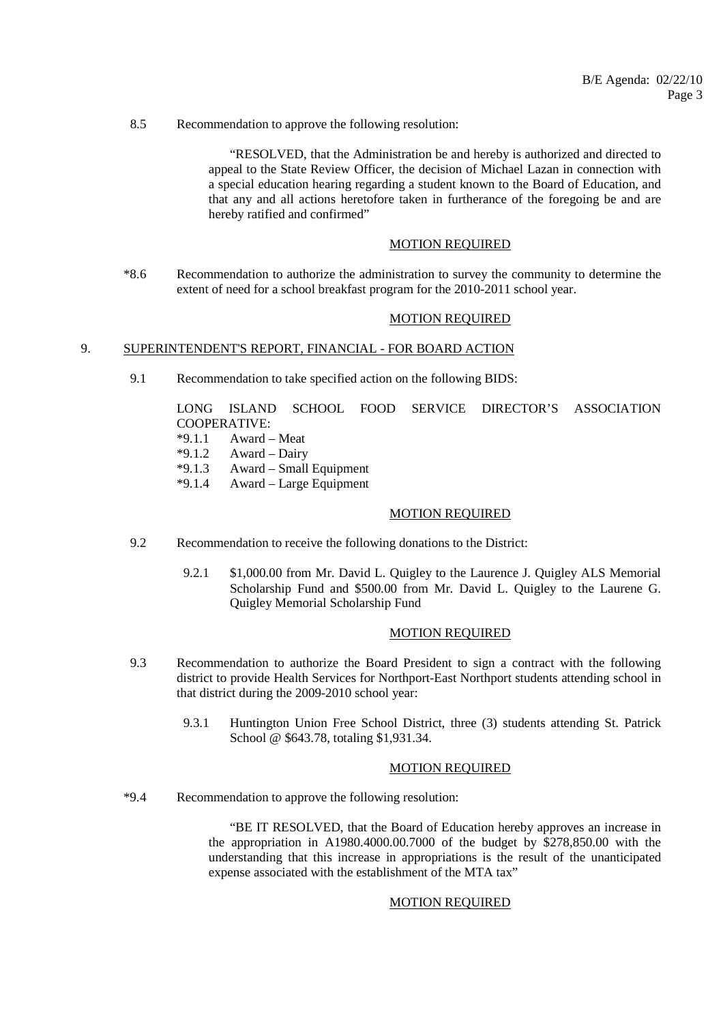8.5 Recommendation to approve the following resolution:

 "RESOLVED, that the Administration be and hereby is authorized and directed to appeal to the State Review Officer, the decision of Michael Lazan in connection with a special education hearing regarding a student known to the Board of Education, and that any and all actions heretofore taken in furtherance of the foregoing be and are hereby ratified and confirmed"

#### MOTION REQUIRED

 \*8.6 Recommendation to authorize the administration to survey the community to determine the extent of need for a school breakfast program for the 2010-2011 school year.

#### MOTION REQUIRED

#### 9. SUPERINTENDENT'<u>S REPORT, FINANCIAL - FOR BOARD ACTION</u>

9.1 Recommendation to take specified action on the following BIDS:

 LONG ISLAND SCHOOL FOOD SERVICE DIRECTOR'S ASSOCIATION COOPERATIVE:<br>\*9 1 1 Award -

- Award Meat
- $*9.1.2$  Award Dairy
- \*9.1.3 Award Small Equipment
- \*9.1.4 Award Large Equipment

#### MOTION REQUIRED

- 9.2 Recommendation to receive the following donations to the District:
	- 9.2.1 \$1,000.00 from Mr. David L. Quigley to the Laurence J. Quigley ALS Memorial Scholarship Fund and \$500.00 from Mr. David L. Quigley to the Laurene G. Quigley Memorial Scholarship Fund

#### MOTION REQUIRED

- 9.3 Recommendation to authorize the Board President to sign a contract with the following district to provide Health Services for Northport-East Northport students attending school in that district during the 2009-2010 school year:
	- 9.3.1 Huntington Union Free School District, three (3) students attending St. Patrick School @ \$643.78, totaling \$1,931.34.

#### MOTION REQUIRED

\*9.4 Recommendation to approve the following resolution:

 "BE IT RESOLVED, that the Board of Education hereby approves an increase in the appropriation in A1980.4000.00.7000 of the budget by \$278,850.00 with the understanding that this increase in appropriations is the result of the unanticipated expense associated with the establishment of the MTA tax"

#### MOTION REQUIRED